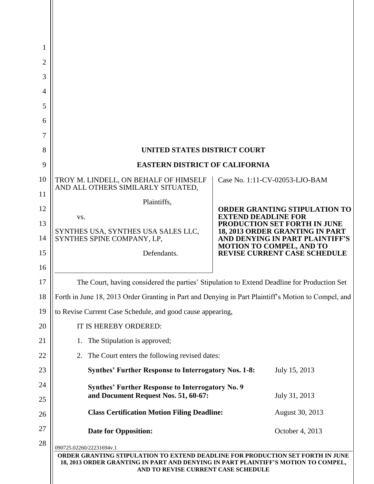| 1        |                                                                                                                                                                                                            |                                                                                                                                |  |
|----------|------------------------------------------------------------------------------------------------------------------------------------------------------------------------------------------------------------|--------------------------------------------------------------------------------------------------------------------------------|--|
| 2        |                                                                                                                                                                                                            |                                                                                                                                |  |
| 3        |                                                                                                                                                                                                            |                                                                                                                                |  |
| 4        |                                                                                                                                                                                                            |                                                                                                                                |  |
| 5        |                                                                                                                                                                                                            |                                                                                                                                |  |
| 6        |                                                                                                                                                                                                            |                                                                                                                                |  |
| 7        |                                                                                                                                                                                                            |                                                                                                                                |  |
| 8        | <b>UNITED STATES DISTRICT COURT</b>                                                                                                                                                                        |                                                                                                                                |  |
| 9        | <b>EASTERN DISTRICT OF CALIFORNIA</b>                                                                                                                                                                      |                                                                                                                                |  |
| 10       | TROY M. LINDELL, ON BEHALF OF HIMSELF<br>AND ALL OTHERS SIMILARLY SITUATED,                                                                                                                                | Case No. 1:11-CV-02053-LJO-BAM                                                                                                 |  |
| 11       | Plaintiffs,                                                                                                                                                                                                |                                                                                                                                |  |
| 12       | VS.                                                                                                                                                                                                        | <b>ORDER GRANTING STIPULATION TO</b><br><b>EXTEND DEADLINE FOR</b>                                                             |  |
| 13       | SYNTHES USA, SYNTHES USA SALES LLC,                                                                                                                                                                        | PRODUCTION SET FORTH IN JUNE<br>18, 2013 ORDER GRANTING IN PART<br>AND DENYING IN PART PLAINTIFF'S<br>MOTION TO COMPEL, AND TO |  |
| 14       | SYNTHES SPINE COMPANY, LP,                                                                                                                                                                                 |                                                                                                                                |  |
| 15       | Defendants.                                                                                                                                                                                                | <b>REVISE CURRENT CASE SCHEDULE</b>                                                                                            |  |
| 16       |                                                                                                                                                                                                            |                                                                                                                                |  |
| 17       | The Court, having considered the parties' Stipulation to Extend Deadline for Production Set                                                                                                                |                                                                                                                                |  |
| 18       | Forth in June 18, 2013 Order Granting in Part and Denying in Part Plaintiff's Motion to Compel, and                                                                                                        |                                                                                                                                |  |
| 19       | to Revise Current Case Schedule, and good cause appearing,                                                                                                                                                 |                                                                                                                                |  |
| 20       | IT IS HEREBY ORDERED:                                                                                                                                                                                      |                                                                                                                                |  |
| 21       | The Stipulation is approved;<br>1.                                                                                                                                                                         |                                                                                                                                |  |
| 22       | The Court enters the following revised dates:<br>2.                                                                                                                                                        |                                                                                                                                |  |
| 23       | <b>Synthes' Further Response to Interrogatory Nos. 1-8:</b>                                                                                                                                                | July 15, 2013                                                                                                                  |  |
| 24       | <b>Synthes' Further Response to Interrogatory No. 9</b><br>and Document Request Nos. 51, 60-67:<br>July 31, 2013                                                                                           |                                                                                                                                |  |
| 25<br>26 | <b>Class Certification Motion Filing Deadline:</b>                                                                                                                                                         | August 30, 2013                                                                                                                |  |
| 27       | <b>Date for Opposition:</b>                                                                                                                                                                                | October 4, 2013                                                                                                                |  |
| 28       | 090725.02260/22231694v.1                                                                                                                                                                                   |                                                                                                                                |  |
|          | ORDER GRANTING STIPULATION TO EXTEND DEADLINE FOR PRODUCTION SET FORTH IN JUNE<br>18, 2013 ORDER GRANTING IN PART AND DENYING IN PART PLAINTIFF'S MOTION TO COMPEL,<br>AND TO REVISE CURRENT CASE SCHEDULE |                                                                                                                                |  |